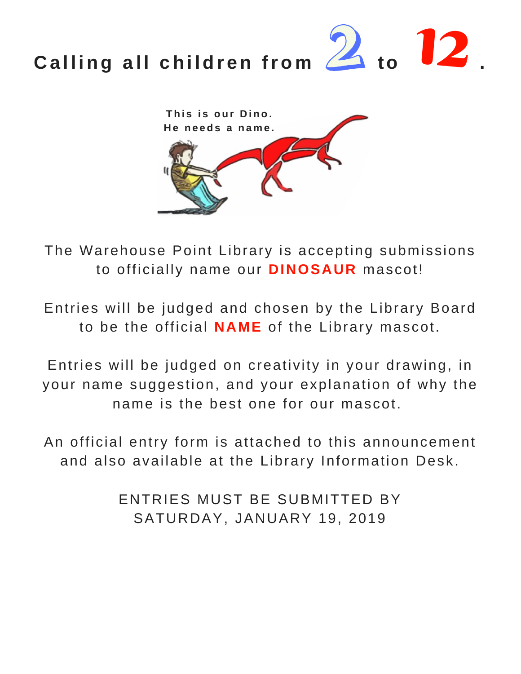## **Calling all children from**  $\mathbb{Z}$  **to**  $\mathbb{Z}$ **.**



The Warehouse Point Library is accepting submissions to officially name our **DINOSAUR** mascot!

Entries will be judged and chosen by the Library Board to be the official **NAME** of the Library mascot.

Entries will be judged on creativity in your drawing, in your name suggestion, and your explanation of why the name is the best one for our mascot.

An official entry form is attached to this announcement and also available at the Library Information Desk.

> ENTRIES MUST BE SUBMITTED BY SATURDAY, JANUARY 19, 2019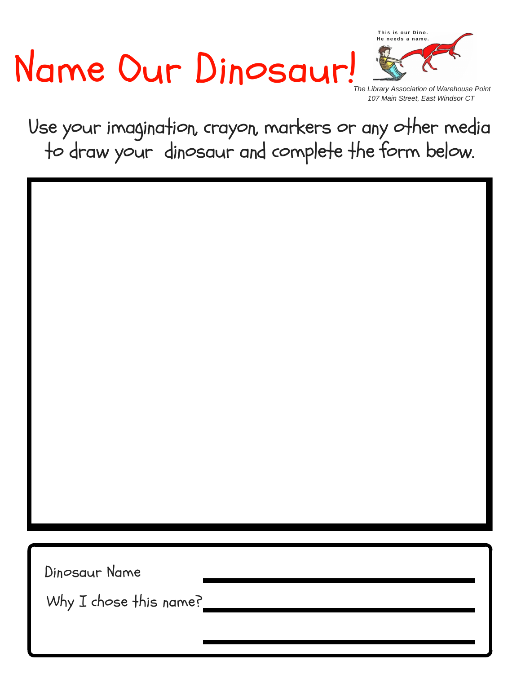## Name Our Dinosaur!



*The Library Association of Warehouse Point 107 Main Street, East Windsor CT*

Use your imagination, crayon, markers or any other media to draw your dinosaur and complete the form below.